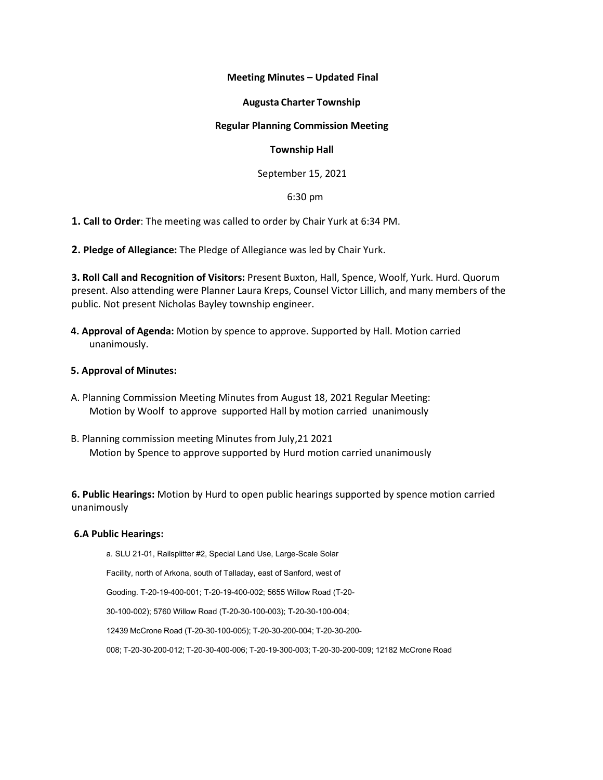# **Meeting Minutes – Updated Final**

# **Augusta Charter Township**

# **Regular Planning Commission Meeting**

# **Township Hall**

September 15, 2021

# 6:30 pm

**1. Call to Order**: The meeting was called to order by Chair Yurk at 6:34 PM.

**2. Pledge of Allegiance:** The Pledge of Allegiance was led by Chair Yurk.

**3. Roll Call and Recognition of Visitors:** Present Buxton, Hall, Spence, Woolf, Yurk. Hurd. Quorum present. Also attending were Planner Laura Kreps, Counsel Victor Lillich, and many members of the public. Not present Nicholas Bayley township engineer.

**4. Approval of Agenda:** Motion by spence to approve. Supported by Hall. Motion carried unanimously.

# **5. Approval of Minutes:**

- A. Planning Commission Meeting Minutes from August 18, 2021 Regular Meeting: Motion by Woolf to approve supported Hall by motion carried unanimously
- B. Planning commission meeting Minutes from July,21 2021 Motion by Spence to approve supported by Hurd motion carried unanimously

**6. Public Hearings:** Motion by Hurd to open public hearings supported by spence motion carried unanimously

## **6.A Public Hearings:**

a. SLU 21-01, Railsplitter #2, Special Land Use, Large-Scale Solar

Facility, north of Arkona, south of Talladay, east of Sanford, west of

Gooding. T-20-19-400-001; T-20-19-400-002; 5655 Willow Road (T-20-

30-100-002); 5760 Willow Road (T-20-30-100-003); T-20-30-100-004;

12439 McCrone Road (T-20-30-100-005); T-20-30-200-004; T-20-30-200-

008; T-20-30-200-012; T-20-30-400-006; T-20-19-300-003; T-20-30-200-009; 12182 McCrone Road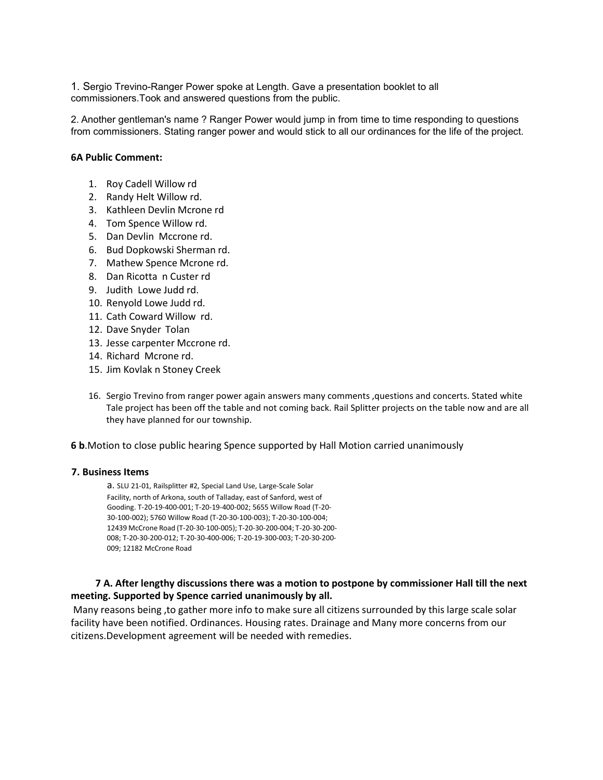1. Sergio Trevino-Ranger Power spoke at Length. Gave a presentation booklet to all commissioners.Took and answered questions from the public.

2. Another gentleman's name ? Ranger Power would jump in from time to time responding to questions from commissioners. Stating ranger power and would stick to all our ordinances for the life of the project.

# **6A Public Comment:**

- 1. Roy Cadell Willow rd
- 2. Randy Helt Willow rd.
- 3. Kathleen Devlin Mcrone rd
- 4. Tom Spence Willow rd.
- 5. Dan Devlin Mccrone rd.
- 6. Bud Dopkowski Sherman rd.
- 7. Mathew Spence Mcrone rd.
- 8. Dan Ricotta n Custer rd
- 9. Judith Lowe Judd rd.
- 10. Renyold Lowe Judd rd.
- 11. Cath Coward Willow rd.
- 12. Dave Snyder Tolan
- 13. Jesse carpenter Mccrone rd.
- 14. Richard Mcrone rd.
- 15. Jim Kovlak n Stoney Creek
- 16. Sergio Trevino from ranger power again answers many comments ,questions and concerts. Stated white Tale project has been off the table and not coming back. Rail Splitter projects on the table now and are all they have planned for our township.

**6 b**.Motion to close public hearing Spence supported by Hall Motion carried unanimously

#### **7. Business Items**

a. SLU 21-01, Railsplitter #2, Special Land Use, Large-Scale Solar Facility, north of Arkona, south of Talladay, east of Sanford, west of Gooding. T-20-19-400-001; T-20-19-400-002; 5655 Willow Road (T-20- 30-100-002); 5760 Willow Road (T-20-30-100-003); T-20-30-100-004; 12439 McCrone Road (T-20-30-100-005); T-20-30-200-004; T-20-30-200- 008; T-20-30-200-012; T-20-30-400-006; T-20-19-300-003; T-20-30-200- 009; 12182 McCrone Road

# **7 A. After lengthy discussions there was a motion to postpone by commissioner Hall till the next meeting. Supported by Spence carried unanimously by all.**

Many reasons being ,to gather more info to make sure all citizens surrounded by this large scale solar facility have been notified. Ordinances. Housing rates. Drainage and Many more concerns from our citizens.Development agreement will be needed with remedies.